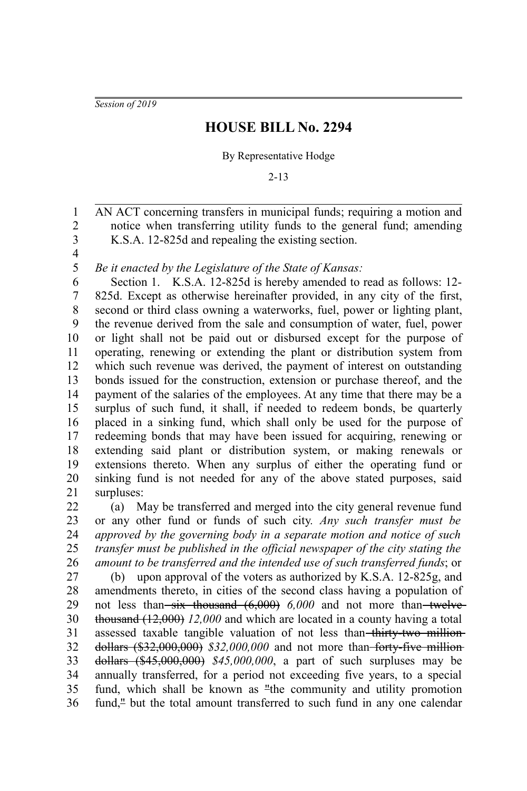*Session of 2019*

## **HOUSE BILL No. 2294**

## By Representative Hodge

2-13

AN ACT concerning transfers in municipal funds; requiring a motion and notice when transferring utility funds to the general fund; amending K.S.A. 12-825d and repealing the existing section. 2 3

4 5

1

*Be it enacted by the Legislature of the State of Kansas:*

Section 1. K.S.A. 12-825d is hereby amended to read as follows: 12- 825d. Except as otherwise hereinafter provided, in any city of the first, second or third class owning a waterworks, fuel, power or lighting plant, the revenue derived from the sale and consumption of water, fuel, power or light shall not be paid out or disbursed except for the purpose of operating, renewing or extending the plant or distribution system from which such revenue was derived, the payment of interest on outstanding bonds issued for the construction, extension or purchase thereof, and the payment of the salaries of the employees. At any time that there may be a surplus of such fund, it shall, if needed to redeem bonds, be quarterly placed in a sinking fund, which shall only be used for the purpose of redeeming bonds that may have been issued for acquiring, renewing or extending said plant or distribution system, or making renewals or extensions thereto. When any surplus of either the operating fund or sinking fund is not needed for any of the above stated purposes, said surpluses: 6 7 8 9 10 11 12 13 14 15 16 17 18 19 20 21

(a) May be transferred and merged into the city general revenue fund or any other fund or funds of such city*. Any such transfer must be approved by the governing body in a separate motion and notice of such transfer must be published in the official newspaper of the city stating the amount to be transferred and the intended use of such transferred funds*; or 22 23 24 25 26

(b) upon approval of the voters as authorized by K.S.A. 12-825g, and amendments thereto, in cities of the second class having a population of not less than<del> six thousand (6,000)</del> 6,000 and not more than twelvethousand (12,000) *12,000* and which are located in a county having a total assessed taxable tangible valuation of not less than thirty-two milliondollars (\$32,000,000) *\$32,000,000* and not more than forty-five million dollars (\$45,000,000) *\$45,000,000*, a part of such surpluses may be annually transferred, for a period not exceeding five years, to a special fund, which shall be known as "the community and utility promotion fund,<sup>"</sup> but the total amount transferred to such fund in any one calendar 27 28 29 30 31 32 33 34 35 36